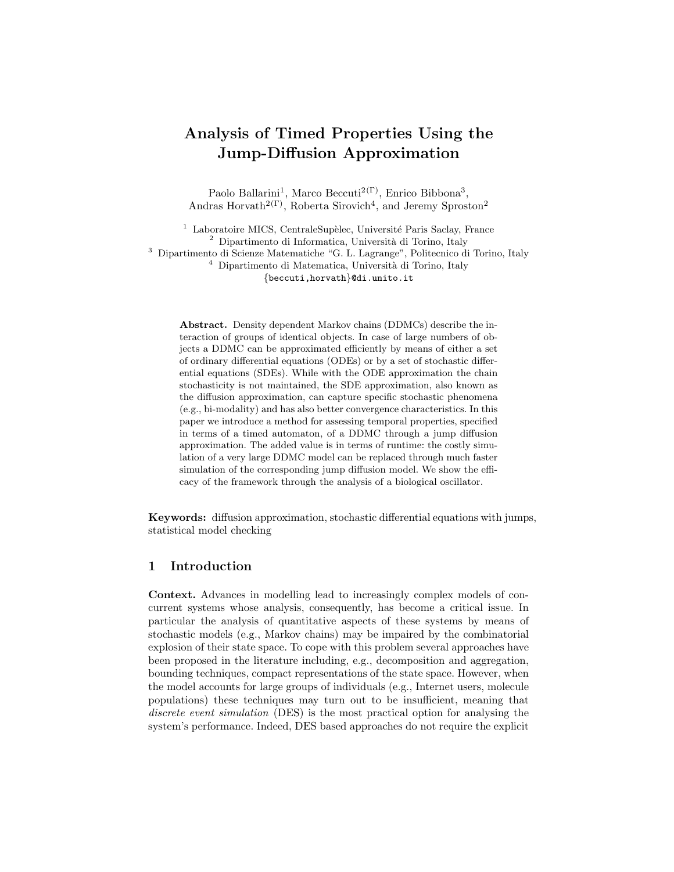# Analysis of Timed Properties Using the Jump-Diffusion Approximation

Paolo Ballarini<sup>1</sup>, Marco Beccuti<sup>2(Γ)</sup>, Enrico Bibbona<sup>3</sup>, Andras Horvath<sup>2(Γ)</sup>, Roberta Sirovich<sup>4</sup>, and Jeremy Sproston<sup>2</sup>

 Laboratoire MICS, CentraleSupèlec, Université Paris Saclay, France Dipartimento di Informatica, Università di Torino, Italy Dipartimento di Scienze Matematiche "G. L. Lagrange", Politecnico di Torino, Italy Dipartimento di Matematica, Università di Torino, Italy {beccuti,horvath}@di.unito.it

Abstract. Density dependent Markov chains (DDMCs) describe the interaction of groups of identical objects. In case of large numbers of objects a DDMC can be approximated efficiently by means of either a set of ordinary differential equations (ODEs) or by a set of stochastic differential equations (SDEs). While with the ODE approximation the chain stochasticity is not maintained, the SDE approximation, also known as the diffusion approximation, can capture specific stochastic phenomena (e.g., bi-modality) and has also better convergence characteristics. In this paper we introduce a method for assessing temporal properties, specified in terms of a timed automaton, of a DDMC through a jump diffusion approximation. The added value is in terms of runtime: the costly simulation of a very large DDMC model can be replaced through much faster simulation of the corresponding jump diffusion model. We show the efficacy of the framework through the analysis of a biological oscillator.

Keywords: diffusion approximation, stochastic differential equations with jumps, statistical model checking

#### 1 Introduction

Context. Advances in modelling lead to increasingly complex models of concurrent systems whose analysis, consequently, has become a critical issue. In particular the analysis of quantitative aspects of these systems by means of stochastic models (e.g., Markov chains) may be impaired by the combinatorial explosion of their state space. To cope with this problem several approaches have been proposed in the literature including, e.g., decomposition and aggregation, bounding techniques, compact representations of the state space. However, when the model accounts for large groups of individuals (e.g., Internet users, molecule populations) these techniques may turn out to be insufficient, meaning that discrete event simulation (DES) is the most practical option for analysing the system's performance. Indeed, DES based approaches do not require the explicit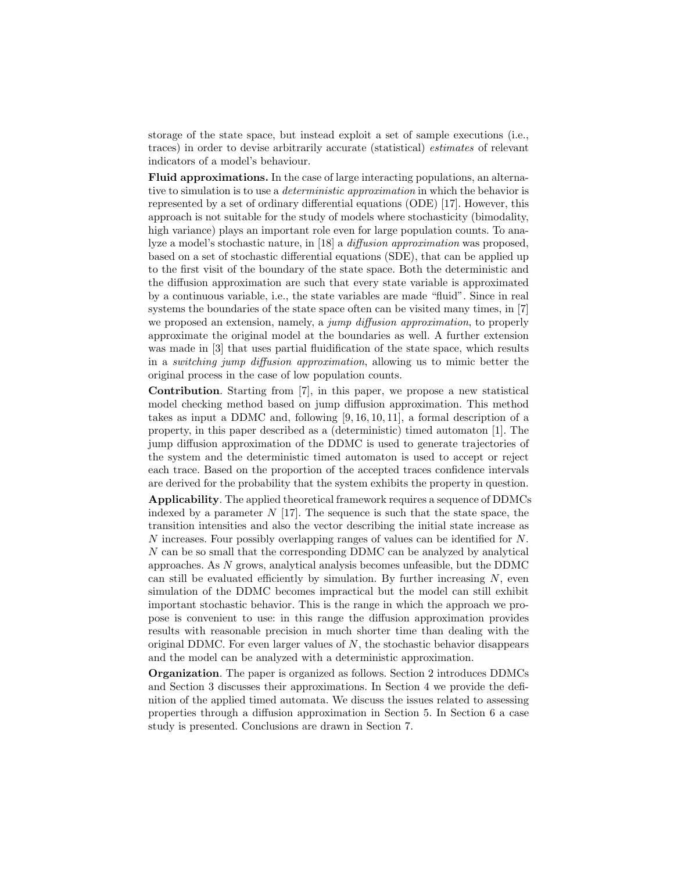storage of the state space, but instead exploit a set of sample executions (i.e., traces) in order to devise arbitrarily accurate (statistical) estimates of relevant indicators of a model's behaviour.

Fluid approximations. In the case of large interacting populations, an alternative to simulation is to use a *deterministic approximation* in which the behavior is represented by a set of ordinary differential equations (ODE) [17]. However, this approach is not suitable for the study of models where stochasticity (bimodality, high variance) plays an important role even for large population counts. To analyze a model's stochastic nature, in [18] a diffusion approximation was proposed, based on a set of stochastic differential equations (SDE), that can be applied up to the first visit of the boundary of the state space. Both the deterministic and the diffusion approximation are such that every state variable is approximated by a continuous variable, i.e., the state variables are made "fluid". Since in real systems the boundaries of the state space often can be visited many times, in [7] we proposed an extension, namely, a jump diffusion approximation, to properly approximate the original model at the boundaries as well. A further extension was made in [3] that uses partial fluidification of the state space, which results in a switching jump diffusion approximation, allowing us to mimic better the original process in the case of low population counts.

Contribution. Starting from [7], in this paper, we propose a new statistical model checking method based on jump diffusion approximation. This method takes as input a DDMC and, following [9, 16, 10, 11], a formal description of a property, in this paper described as a (deterministic) timed automaton [1]. The jump diffusion approximation of the DDMC is used to generate trajectories of the system and the deterministic timed automaton is used to accept or reject each trace. Based on the proportion of the accepted traces confidence intervals are derived for the probability that the system exhibits the property in question.

Applicability. The applied theoretical framework requires a sequence of DDMCs indexed by a parameter  $N$  [17]. The sequence is such that the state space, the transition intensities and also the vector describing the initial state increase as N increases. Four possibly overlapping ranges of values can be identified for N. N can be so small that the corresponding DDMC can be analyzed by analytical approaches. As N grows, analytical analysis becomes unfeasible, but the DDMC can still be evaluated efficiently by simulation. By further increasing  $N$ , even simulation of the DDMC becomes impractical but the model can still exhibit important stochastic behavior. This is the range in which the approach we propose is convenient to use: in this range the diffusion approximation provides results with reasonable precision in much shorter time than dealing with the original DDMC. For even larger values of  $N$ , the stochastic behavior disappears and the model can be analyzed with a deterministic approximation.

Organization. The paper is organized as follows. Section 2 introduces DDMCs and Section 3 discusses their approximations. In Section 4 we provide the definition of the applied timed automata. We discuss the issues related to assessing properties through a diffusion approximation in Section 5. In Section 6 a case study is presented. Conclusions are drawn in Section 7.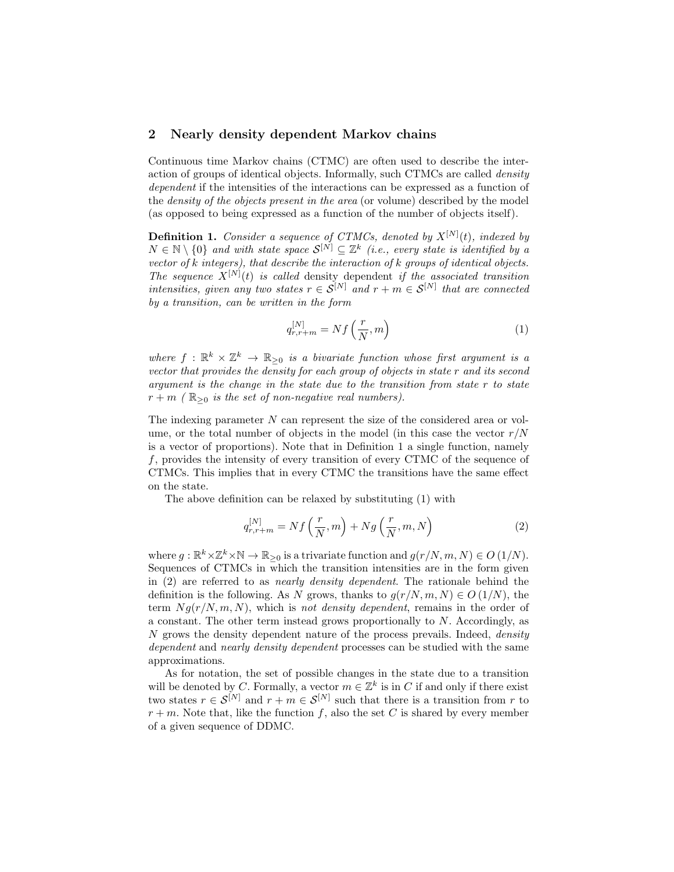### 2 Nearly density dependent Markov chains

Continuous time Markov chains (CTMC) are often used to describe the interaction of groups of identical objects. Informally, such CTMCs are called density dependent if the intensities of the interactions can be expressed as a function of the density of the objects present in the area (or volume) described by the model (as opposed to being expressed as a function of the number of objects itself).

**Definition 1.** Consider a sequence of CTMCs, denoted by  $X^{[N]}(t)$ , indexed by  $N \in \mathbb{N} \setminus \{0\}$  and with state space  $\mathcal{S}^{[N]} \subseteq \mathbb{Z}^k$  (i.e., every state is identified by a vector of k integers), that describe the interaction of k groups of identical objects. The sequence  $X^{[N]}(t)$  is called density dependent if the associated transition intensities, given any two states  $r \in S^{[N]}$  and  $r + m \in S^{[N]}$  that are connected by a transition, can be written in the form

$$
q_{r,r+m}^{[N]} = Nf\left(\frac{r}{N},m\right) \tag{1}
$$

where  $f : \mathbb{R}^k \times \mathbb{Z}^k \to \mathbb{R}_{\geq 0}$  is a bivariate function whose first argument is a vector that provides the density for each group of objects in state r and its second argument is the change in the state due to the transition from state r to state  $r + m$  ( $\mathbb{R}_{\geq 0}$  is the set of non-negative real numbers).

The indexing parameter N can represent the size of the considered area or volume, or the total number of objects in the model (in this case the vector  $r/N$ is a vector of proportions). Note that in Definition 1 a single function, namely f, provides the intensity of every transition of every CTMC of the sequence of CTMCs. This implies that in every CTMC the transitions have the same effect on the state.

The above definition can be relaxed by substituting (1) with

$$
q_{r,r+m}^{[N]} = Nf\left(\frac{r}{N},m\right) + Ng\left(\frac{r}{N},m,N\right) \tag{2}
$$

where  $g: \mathbb{R}^k \times \mathbb{Z}^k \times \mathbb{N} \to \mathbb{R}_{\geq 0}$  is a trivariate function and  $g(r/N, m, N) \in O(1/N)$ . Sequences of CTMCs in which the transition intensities are in the form given in (2) are referred to as nearly density dependent. The rationale behind the definition is the following. As N grows, thanks to  $g(r/N, m, N) \in O(1/N)$ , the term  $Ng(r/N, m, N)$ , which is not density dependent, remains in the order of a constant. The other term instead grows proportionally to  $N$ . Accordingly, as  $N$  grows the density dependent nature of the process prevails. Indeed, *density* dependent and nearly density dependent processes can be studied with the same approximations.

As for notation, the set of possible changes in the state due to a transition will be denoted by C. Formally, a vector  $m \in \mathbb{Z}^k$  is in C if and only if there exist two states  $r \in \mathcal{S}^{[N]}$  and  $r + m \in \mathcal{S}^{[N]}$  such that there is a transition from r to  $r + m$ . Note that, like the function f, also the set C is shared by every member of a given sequence of DDMC.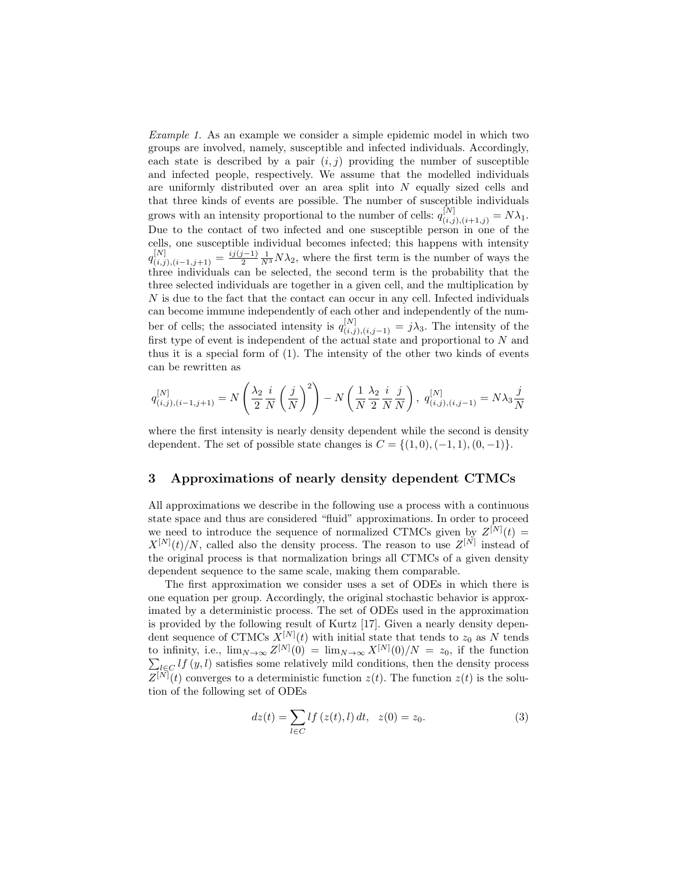Example 1. As an example we consider a simple epidemic model in which two groups are involved, namely, susceptible and infected individuals. Accordingly, each state is described by a pair  $(i, j)$  providing the number of susceptible and infected people, respectively. We assume that the modelled individuals are uniformly distributed over an area split into  $N$  equally sized cells and that three kinds of events are possible. The number of susceptible individuals grows with an intensity proportional to the number of cells:  $q_{(i,j),(i+1,j)}^{[N]} = N\lambda_1$ . Due to the contact of two infected and one susceptible person in one of the cells, one susceptible individual becomes infected; this happens with intensity  $q_{(i,j),(i-1,j+1)}^{[N]} = \frac{i_j(j-1)}{2} \frac{1}{N^3} N \lambda_2$ , where the first term is the number of ways the three individuals can be selected, the second term is the probability that the three selected individuals are together in a given cell, and the multiplication by N is due to the fact that the contact can occur in any cell. Infected individuals can become immune independently of each other and independently of the number of cells; the associated intensity is  $q_{(i,j),(i,j-1)}^{[N]} = j\lambda_3$ . The intensity of the first type of event is independent of the actual state and proportional to  $N$  and thus it is a special form of (1). The intensity of the other two kinds of events can be rewritten as

$$
q_{(i,j),(i-1,j+1)}^{[N]} = N\left(\frac{\lambda_2}{2} \frac{i}{N} \left(\frac{j}{N}\right)^2\right) - N\left(\frac{1}{N} \frac{\lambda_2}{2} \frac{i}{N} \frac{j}{N}\right), q_{(i,j),(i,j-1)}^{[N]} = N \lambda_3 \frac{j}{N}
$$

where the first intensity is nearly density dependent while the second is density dependent. The set of possible state changes is  $C = \{(1,0), (-1,1), (0,-1)\}.$ 

### 3 Approximations of nearly density dependent CTMCs

All approximations we describe in the following use a process with a continuous state space and thus are considered "fluid" approximations. In order to proceed we need to introduce the sequence of normalized CTMCs given by  $Z^{[N]}(t) =$  $X^{[N]}(t)/N$ , called also the density process. The reason to use  $Z^{[N]}$  instead of the original process is that normalization brings all CTMCs of a given density dependent sequence to the same scale, making them comparable.

The first approximation we consider uses a set of ODEs in which there is one equation per group. Accordingly, the original stochastic behavior is approximated by a deterministic process. The set of ODEs used in the approximation is provided by the following result of Kurtz [17]. Given a nearly density dependent sequence of CTMCs  $X^{[N]}(t)$  with initial state that tends to  $z_0$  as N tends to infinity, i.e.,  $\lim_{N\to\infty} Z^{[N]}(0) = \lim_{N\to\infty} X^{[N]}$ P  $(0)/N = z_0$ , if the function  $\iota_{\mathcal{E}C} l f(y, l)$  satisfies some relatively mild conditions, then the density process  $Z^{[N]}(t)$  converges to a deterministic function  $z(t)$ . The function  $z(t)$  is the solution of the following set of ODEs

$$
dz(t) = \sum_{l \in C} l f(z(t), l) dt, \quad z(0) = z_0.
$$
 (3)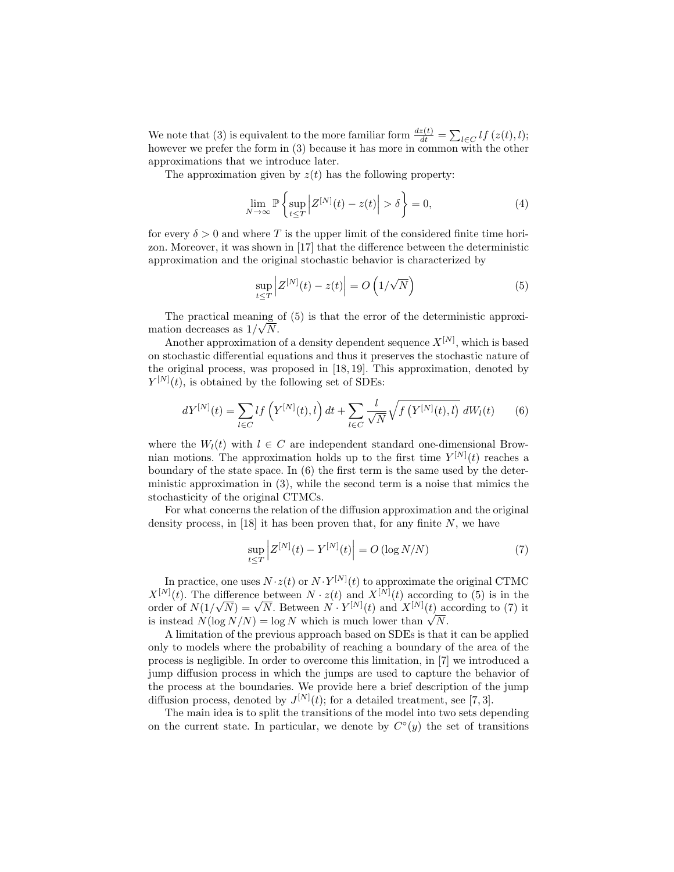We note that (3) is equivalent to the more familiar form  $\frac{dz(t)}{dt} = \sum_{l \in C} l f(z(t), l);$ however we prefer the form in (3) because it has more in common with the other approximations that we introduce later.

The approximation given by  $z(t)$  has the following property:

$$
\lim_{N \to \infty} \mathbb{P}\left\{\sup_{t \le T} \left| Z^{[N]}(t) - z(t) \right| > \delta \right\} = 0,\tag{4}
$$

for every  $\delta > 0$  and where T is the upper limit of the considered finite time horizon. Moreover, it was shown in [17] that the difference between the deterministic approximation and the original stochastic behavior is characterized by

$$
\sup_{t \le T} \left| Z^{[N]}(t) - z(t) \right| = O\left(1/\sqrt{N}\right)
$$
\n(5)

The practical meaning of (5) is that the error of the deterministic approximation decreases as  $1/\sqrt{N}$ .

Another approximation of a density dependent sequence  $X^{[N]}$ , which is based on stochastic differential equations and thus it preserves the stochastic nature of the original process, was proposed in [18, 19]. This approximation, denoted by  $Y^{[N]}(t)$ , is obtained by the following set of SDEs:

$$
dY^{[N]}(t) = \sum_{l \in C} l f\left(Y^{[N]}(t), l\right) dt + \sum_{l \in C} \frac{l}{\sqrt{N}} \sqrt{f\left(Y^{[N]}(t), l\right)} dW_l(t) \tag{6}
$$

where the  $W_l(t)$  with  $l \in C$  are independent standard one-dimensional Brownian motions. The approximation holds up to the first time  $Y^{[N]}(t)$  reaches a boundary of the state space. In  $(6)$  the first term is the same used by the deterministic approximation in (3), while the second term is a noise that mimics the stochasticity of the original CTMCs.

For what concerns the relation of the diffusion approximation and the original density process, in [18] it has been proven that, for any finite  $N$ , we have

$$
\sup_{t \le T} \left| Z^{[N]}(t) - Y^{[N]}(t) \right| = O\left(\log N/N\right) \tag{7}
$$

In practice, one uses  $N \cdot z(t)$  or  $N \cdot Y^{[N]}(t)$  to approximate the original CTMC  $X^{[N]}(t)$ . The difference between  $N \cdot z(t)$  and  $X^{[N]}(t)$  according to (5) is in the order of  $N(1/\sqrt{N}) = \sqrt{N}$ . Between  $N \cdot Y^{[N]}(t)$  and  $X^{[N]}(t)$  according to (7) it is instead  $N(\log N/N) = \log N$  which is much lower than  $\sqrt{N}$ .

A limitation of the previous approach based on SDEs is that it can be applied only to models where the probability of reaching a boundary of the area of the process is negligible. In order to overcome this limitation, in [7] we introduced a jump diffusion process in which the jumps are used to capture the behavior of the process at the boundaries. We provide here a brief description of the jump diffusion process, denoted by  $J^{[N]}(t)$ ; for a detailed treatment, see [7, 3].

The main idea is to split the transitions of the model into two sets depending on the current state. In particular, we denote by  $C^{\circ}(y)$  the set of transitions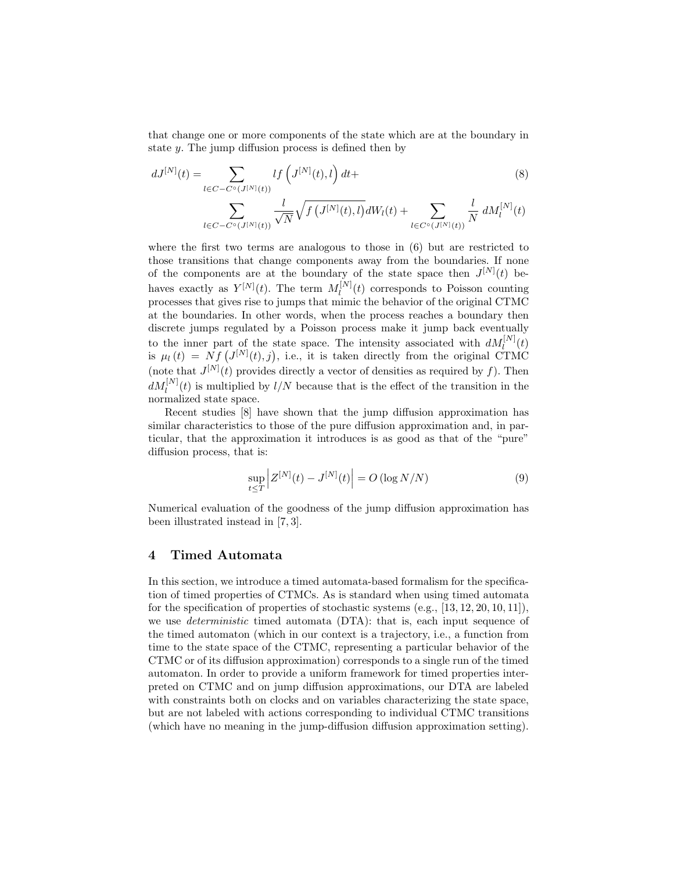that change one or more components of the state which are at the boundary in state y. The jump diffusion process is defined then by

$$
dJ^{[N]}(t) = \sum_{l \in C - C^{\circ}(J^{[N]}(t))} l f\left(J^{[N]}(t), l\right) dt + \sum_{l \in C - C^{\circ}(J^{[N]}(t))} \frac{l}{\sqrt{N}} \sqrt{f\left(J^{[N]}(t), l\right)} dW_{l}(t) + \sum_{l \in C^{\circ}(J^{[N]}(t))} \frac{l}{N} dM_{l}^{[N]}(t)
$$
\n
$$
(8)
$$

where the first two terms are analogous to those in (6) but are restricted to those transitions that change components away from the boundaries. If none of the components are at the boundary of the state space then  $J^{[N]}(t)$  behaves exactly as  $Y^{[N]}(t)$ . The term  $M_l^{[N]}$  $\binom{[1^{\mathsf{r}}]}{l}(t)$  corresponds to Poisson counting processes that gives rise to jumps that mimic the behavior of the original CTMC at the boundaries. In other words, when the process reaches a boundary then discrete jumps regulated by a Poisson process make it jump back eventually to the inner part of the state space. The intensity associated with  $dM_l^{[N]}(t)$ is  $\mu_l(t) = Nf(J^{[N]}(t), j)$ , i.e., it is taken directly from the original CTMC (note that  $J^{[N]}(t)$  provides directly a vector of densities as required by f). Then  $dM_l^{[N]}(t)$  is multiplied by  $l/N$  because that is the effect of the transition in the normalized state space.

Recent studies [8] have shown that the jump diffusion approximation has similar characteristics to those of the pure diffusion approximation and, in particular, that the approximation it introduces is as good as that of the "pure" diffusion process, that is:

$$
\sup_{t \le T} \left| Z^{[N]}(t) - J^{[N]}(t) \right| = O\left( \log N / N \right) \tag{9}
$$

Numerical evaluation of the goodness of the jump diffusion approximation has been illustrated instead in [7, 3].

## 4 Timed Automata

In this section, we introduce a timed automata-based formalism for the specification of timed properties of CTMCs. As is standard when using timed automata for the specification of properties of stochastic systems  $(e.g., [13, 12, 20, 10, 11])$ , we use deterministic timed automata (DTA): that is, each input sequence of the timed automaton (which in our context is a trajectory, i.e., a function from time to the state space of the CTMC, representing a particular behavior of the CTMC or of its diffusion approximation) corresponds to a single run of the timed automaton. In order to provide a uniform framework for timed properties interpreted on CTMC and on jump diffusion approximations, our DTA are labeled with constraints both on clocks and on variables characterizing the state space, but are not labeled with actions corresponding to individual CTMC transitions (which have no meaning in the jump-diffusion diffusion approximation setting).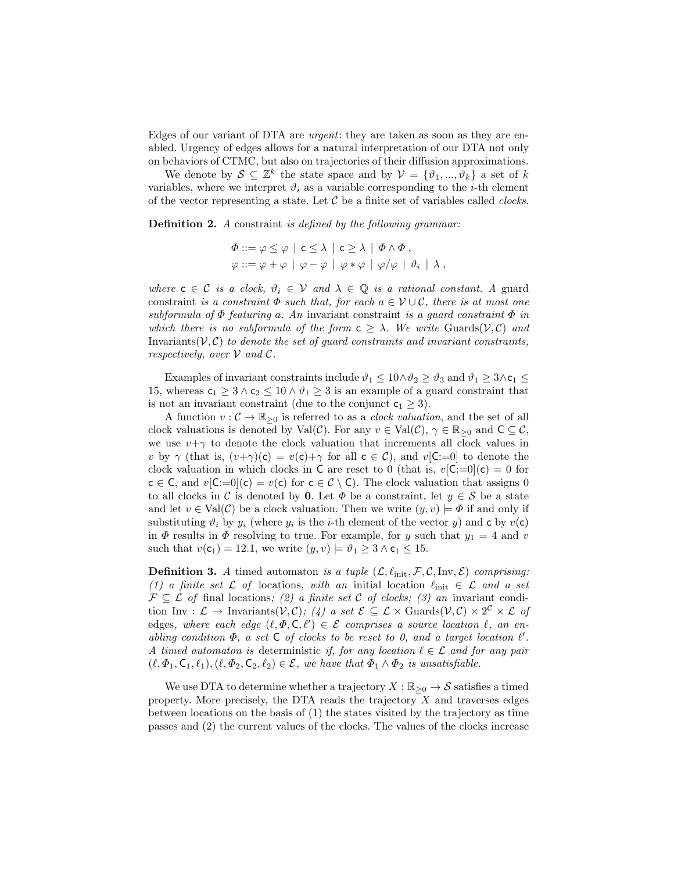Edges of our variant of DTA are urgent: they are taken as soon as they are enabled. Urgency of edges allows for a natural interpretation of our DTA not only on behaviors of CTMC, but also on trajectories of their diffusion approximations.

We denote by  $S \subseteq \mathbb{Z}^k$  the state space and by  $\mathcal{V} = \{\vartheta_1, ..., \vartheta_k\}$  a set of k variables, where we interpret  $\vartheta_i$  as a variable corresponding to the *i*-th element of the vector representing a state. Let  $C$  be a finite set of variables called *clocks*.

Definition 2. A constraint is defined by the following grammar:

$$
\Phi ::= \varphi \leq \varphi \mid c \leq \lambda \mid c \geq \lambda \mid \Phi \wedge \Phi ,
$$
  

$$
\varphi ::= \varphi + \varphi \mid \varphi - \varphi \mid \varphi * \varphi \mid \varphi / \varphi \mid \vartheta_i \mid \lambda ,
$$

where  $c \in \mathcal{C}$  is a clock,  $\vartheta_i \in \mathcal{V}$  and  $\lambda \in \mathbb{Q}$  is a rational constant. A guard constraint is a constraint  $\Phi$  such that, for each  $a \in \mathcal{V} \cup \mathcal{C}$ , there is at most one subformula of  $\Phi$  featuring a. An invariant constraint is a guard constraint  $\Phi$  in which there is no subformula of the form  $c \geq \lambda$ . We write Guards $(V, \mathcal{C})$  and Invariants( $V, C$ ) to denote the set of guard constraints and invariant constraints, respectively, over  $\mathcal V$  and  $\mathcal C$ .

Examples of invariant constraints include  $\vartheta_1 \leq 10 \wedge \vartheta_2 \geq \vartheta_3$  and  $\vartheta_1 \geq 3 \wedge c_1 \leq$ 15, whereas  $c_1 \geq 3 \wedge c_2 \leq 10 \wedge \vartheta_1 \geq 3$  is an example of a guard constraint that is not an invariant constraint (due to the conjunct  $c_1 \geq 3$ ).

A function  $v : \mathcal{C} \to \mathbb{R}_{\geq 0}$  is referred to as a *clock valuation*, and the set of all clock valuations is denoted by Val $(\mathcal{C})$ . For any  $v \in Val(\mathcal{C}), \gamma \in \mathbb{R}_{\geq 0}$  and  $C \subseteq \mathcal{C}$ , we use  $v+\gamma$  to denote the clock valuation that increments all clock values in v by  $\gamma$  (that is,  $(v+\gamma)(c) = v(c)+\gamma$  for all  $c \in C$ ), and  $v[C:=0]$  to denote the clock valuation in which clocks in C are reset to 0 (that is,  $v[C:=0](c) = 0$  for  $c \in C$ , and  $v[C:=0](c) = v(c)$  for  $c \in C \setminus C$ . The clock valuation that assigns 0 to all clocks in C is denoted by 0. Let  $\Phi$  be a constraint, let  $y \in \mathcal{S}$  be a state and let  $v \in Val(C)$  be a clock valuation. Then we write  $(y, v) \models \Phi$  if and only if substituting  $\vartheta_i$  by  $y_i$  (where  $y_i$  is the *i*-th element of the vector  $y$ ) and **c** by  $v(\mathsf{c})$ in  $\Phi$  results in  $\Phi$  resolving to true. For example, for y such that  $y_1 = 4$  and v such that  $v(c_1) = 12.1$ , we write  $(y, v) \models \vartheta_1 \geq 3 \land c_1 \leq 15$ .

**Definition 3.** A timed automaton is a tuple  $(\mathcal{L}, \ell_{\text{init}}, \mathcal{F}, \mathcal{C}, \text{Inv}, \mathcal{E})$  comprising: (1) a finite set  $\mathcal L$  of locations, with an initial location  $\ell_{\rm init} \in \mathcal L$  and a set  $\mathcal{F} \subseteq \mathcal{L}$  of final locations; (2) a finite set C of clocks; (3) an invariant condition Inv :  $\mathcal{L} \to$  Invariants $(\mathcal{V}, \mathcal{C})$ ; (4) a set  $\mathcal{E} \subseteq \mathcal{L} \times$  Guards $(\mathcal{V}, \mathcal{C}) \times 2^{\mathcal{C}} \times \mathcal{L}$  of edges, where each edge  $(\ell, \Phi, \mathsf{C}, \ell') \in \mathcal{E}$  comprises a source location  $\ell$ , an enabling condition  $\Phi$ , a set C of clocks to be reset to 0, and a target location  $\ell'$ . A timed automaton is deterministic if, for any location  $\ell \in \mathcal{L}$  and for any pair  $(\ell, \Phi_1, \mathsf{C}_1, \ell_1), (\ell, \Phi_2, \mathsf{C}_2, \ell_2) \in \mathcal{E}$ , we have that  $\Phi_1 \wedge \Phi_2$  is unsatisfiable.

We use DTA to determine whether a trajectory  $X : \mathbb{R}_{\geq 0} \to S$  satisfies a timed property. More precisely, the DTA reads the trajectory  $X$  and traverses edges between locations on the basis of (1) the states visited by the trajectory as time passes and (2) the current values of the clocks. The values of the clocks increase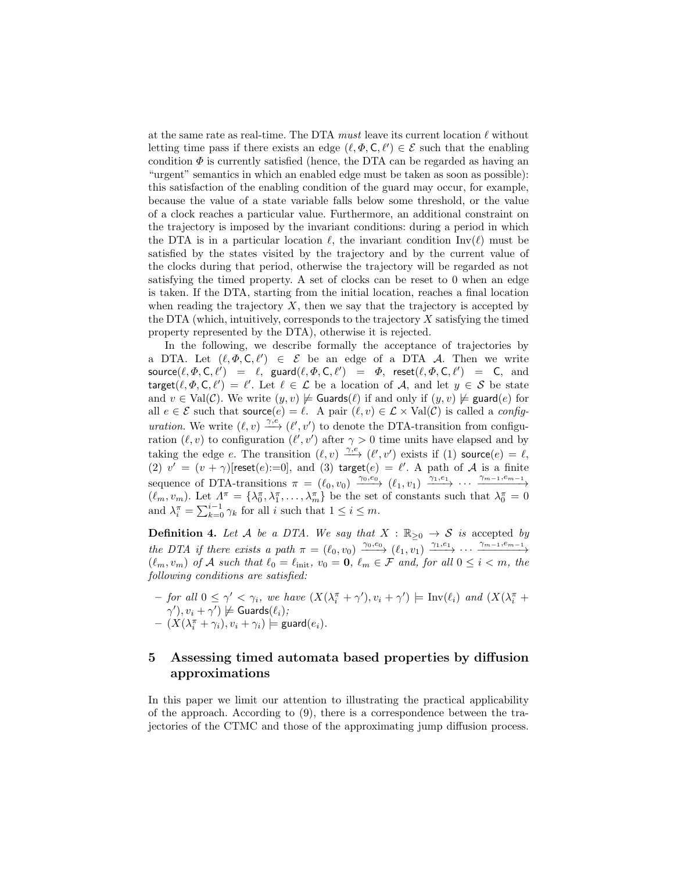at the same rate as real-time. The DTA must leave its current location  $\ell$  without letting time pass if there exists an edge  $(\ell, \Phi, \mathsf{C}, \ell') \in \mathcal{E}$  such that the enabling condition  $\Phi$  is currently satisfied (hence, the DTA can be regarded as having an "urgent" semantics in which an enabled edge must be taken as soon as possible): this satisfaction of the enabling condition of the guard may occur, for example, because the value of a state variable falls below some threshold, or the value of a clock reaches a particular value. Furthermore, an additional constraint on the trajectory is imposed by the invariant conditions: during a period in which the DTA is in a particular location  $\ell$ , the invariant condition Inv( $\ell$ ) must be satisfied by the states visited by the trajectory and by the current value of the clocks during that period, otherwise the trajectory will be regarded as not satisfying the timed property. A set of clocks can be reset to 0 when an edge is taken. If the DTA, starting from the initial location, reaches a final location when reading the trajectory  $X$ , then we say that the trajectory is accepted by the DTA (which, intuitively, corresponds to the trajectory  $X$  satisfying the timed property represented by the DTA), otherwise it is rejected.

In the following, we describe formally the acceptance of trajectories by a DTA. Let  $(\ell, \Phi, \mathsf{C}, \ell') \in \mathcal{E}$  be an edge of a DTA A. Then we write  $\mathsf{source}(\ell, \varPhi, \mathsf{C}, \ell') \;\; = \;\; \ell, \;\; \mathsf{guard}(\ell, \varPhi, \mathsf{C}, \ell') \;\; = \;\; \varPhi, \;\; \mathsf{reset}(\ell, \varPhi, \mathsf{C}, \ell') \;\; = \;\; \mathsf{C}, \;\; \text{and}$ target $(\ell, \Phi, \mathsf{C}, \ell') = \ell'$ . Let  $\ell \in \mathcal{L}$  be a location of A, and let  $y \in \mathcal{S}$  be state and  $v \in Val(C)$ . We write  $(y, v) \not\models$  Guards $(\ell)$  if and only if  $(y, v) \not\models$  guard $(e)$  for all  $e \in \mathcal{E}$  such that source $(e) = \ell$ . A pair  $(\ell, v) \in \mathcal{L} \times \text{Val}(\mathcal{C})$  is called a *configuration*. We write  $(\ell, v) \xrightarrow{\gamma, e} (\ell', v')$  to denote the DTA-transition from configuration  $(\ell, v)$  to configuration  $(\ell', v')$  after  $\gamma > 0$  time units have elapsed and by taking the edge e. The transition  $(\ell, v) \xrightarrow{\gamma,e} (\ell', v')$  exists if (1) source $(e) = \ell$ , (2)  $v' = (v + \gamma)$ [reset(e):=0], and (3) target(e) =  $\ell'$ . A path of A is a finite sequence of DTA-transitions  $\pi = (\ell_0, v_0) \xrightarrow{\gamma_0, e_0} (\ell_1, v_1) \xrightarrow{\gamma_1, e_1} \cdots \xrightarrow{\gamma_{m-1}, e_{m-1}}$  $(\ell_m, v_m)$ . Let  $\Lambda_0^{\pi} = {\lambda_0^{\pi}, \lambda_1^{\pi}, \ldots, \lambda_m^{\pi}}$  be the set of constants such that  $\lambda_0^{\pi} = 0$ and  $\lambda_i^{\pi} = \sum_{k=0}^{i-1} \gamma_k$  for all i such that  $1 \leq i \leq m$ .

**Definition 4.** Let A be a DTA. We say that  $X : \mathbb{R}_{\geq 0} \to S$  is accepted by the DTA if there exists a path  $\pi = (\ell_0, v_0) \xrightarrow{\gamma_0, e_0} (\ell_1, v_1) \xrightarrow{\gamma_1, e_1} \cdots \xrightarrow{\gamma_{m-1}, e_{m-1}}$  $(\ell_m, v_m)$  of A such that  $\ell_0 = \ell_{\text{init}}$ ,  $v_0 = 0$ ,  $\ell_m \in \mathcal{F}$  and, for all  $0 \leq i < m$ , the following conditions are satisfied:

 $-$  for all  $0 \leq \gamma' < \gamma_i$ , we have  $(X(\lambda_i^{\pi} + \gamma'), v_i + \gamma')$   $\models \text{Inv}(\ell_i)$  and  $(X(\lambda_i^{\pi} + \gamma'))$  $(\gamma'), v_i + \gamma') \not\models$  Guards $(\ell_i);$  $- (X(\lambda_i^{\pi} + \gamma_i), v_i + \gamma_i) \models \mathsf{guard}(e_i).$ 

# 5 Assessing timed automata based properties by diffusion approximations

In this paper we limit our attention to illustrating the practical applicability of the approach. According to (9), there is a correspondence between the trajectories of the CTMC and those of the approximating jump diffusion process.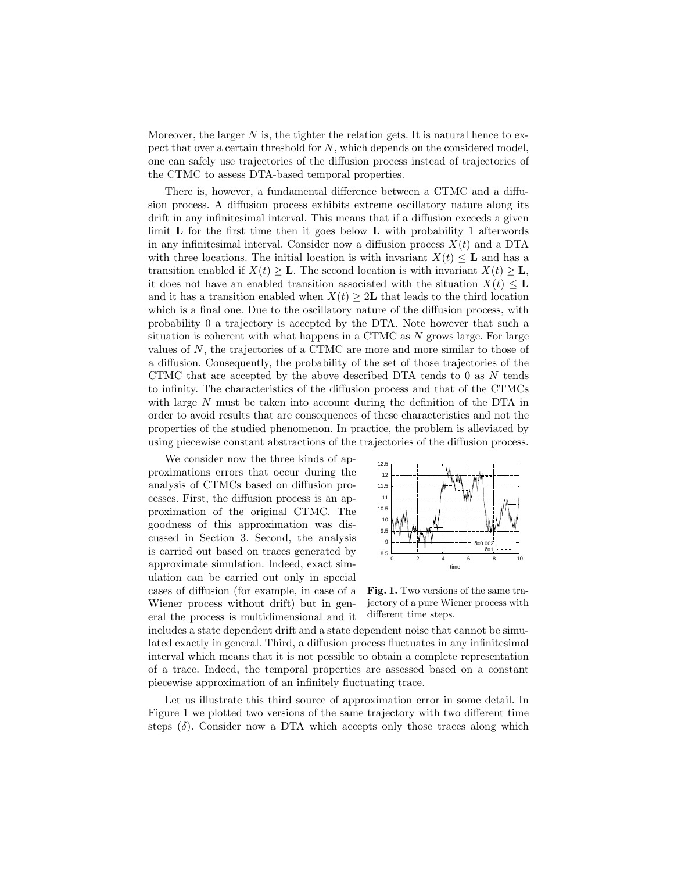Moreover, the larger  $N$  is, the tighter the relation gets. It is natural hence to expect that over a certain threshold for  $N$ , which depends on the considered model, one can safely use trajectories of the diffusion process instead of trajectories of the CTMC to assess DTA-based temporal properties.

There is, however, a fundamental difference between a CTMC and a diffusion process. A diffusion process exhibits extreme oscillatory nature along its drift in any infinitesimal interval. This means that if a diffusion exceeds a given limit  $\bf{L}$  for the first time then it goes below  $\bf{L}$  with probability 1 afterwords in any infinitesimal interval. Consider now a diffusion process  $X(t)$  and a DTA with three locations. The initial location is with invariant  $X(t) \leq L$  and has a transition enabled if  $X(t) > L$ . The second location is with invariant  $X(t) > L$ , it does not have an enabled transition associated with the situation  $X(t) \leq L$ and it has a transition enabled when  $X(t) \geq 2L$  that leads to the third location which is a final one. Due to the oscillatory nature of the diffusion process, with probability 0 a trajectory is accepted by the DTA. Note however that such a situation is coherent with what happens in a CTMC as  $N$  grows large. For large values of  $N$ , the trajectories of a CTMC are more and more similar to those of a diffusion. Consequently, the probability of the set of those trajectories of the CTMC that are accepted by the above described DTA tends to  $0$  as  $N$  tends to infinity. The characteristics of the diffusion process and that of the CTMCs with large N must be taken into account during the definition of the DTA in order to avoid results that are consequences of these characteristics and not the properties of the studied phenomenon. In practice, the problem is alleviated by using piecewise constant abstractions of the trajectories of the diffusion process.

We consider now the three kinds of approximations errors that occur during the analysis of CTMCs based on diffusion processes. First, the diffusion process is an approximation of the original CTMC. The goodness of this approximation was discussed in Section 3. Second, the analysis is carried out based on traces generated by approximate simulation. Indeed, exact simulation can be carried out only in special cases of diffusion (for example, in case of a Wiener process without drift) but in general the process is multidimensional and it



Fig. 1. Two versions of the same trajectory of a pure Wiener process with different time steps.

includes a state dependent drift and a state dependent noise that cannot be simulated exactly in general. Third, a diffusion process fluctuates in any infinitesimal interval which means that it is not possible to obtain a complete representation of a trace. Indeed, the temporal properties are assessed based on a constant piecewise approximation of an infinitely fluctuating trace.

Let us illustrate this third source of approximation error in some detail. In Figure 1 we plotted two versions of the same trajectory with two different time steps  $(\delta)$ . Consider now a DTA which accepts only those traces along which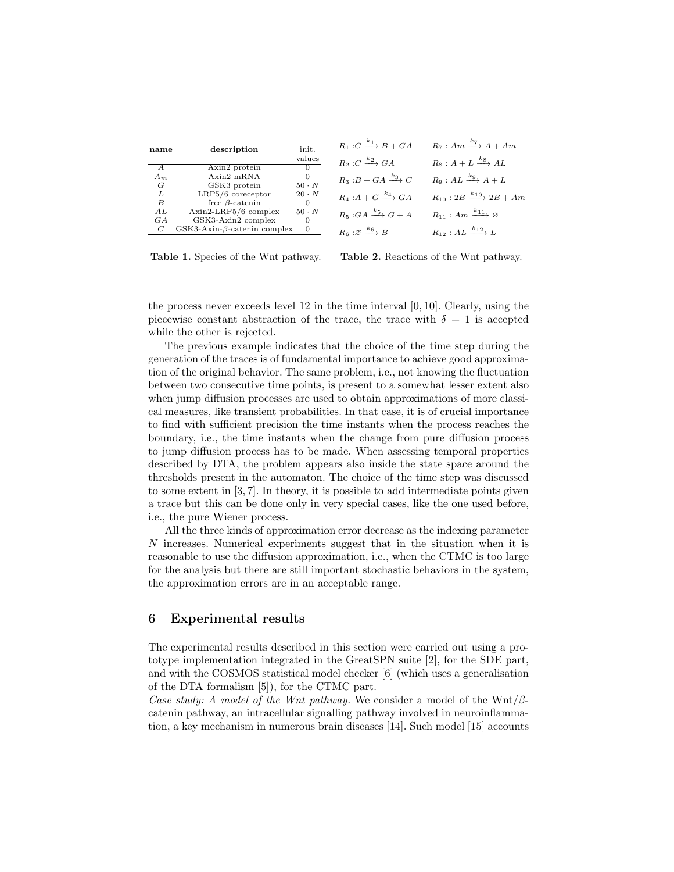| name           | description                        | init.        |
|----------------|------------------------------------|--------------|
|                |                                    | values       |
| A              | Axin2 protein                      |              |
| $A_m$          | $A$ xin2 mRN $A$                   |              |
| G              | GSK3 protein                       | $50 \cdot N$ |
| L              | LRP5/6 coreceptor                  | $20 \cdot N$ |
| B              | free $\beta$ -catenin              |              |
| AI             | Axin2-LRP5/6 complex               | $50 \cdot N$ |
| GA             | GSK3-Axin2 complex                 |              |
| $\overline{C}$ | $GSK3-Axin-\beta$ -catenin complex |              |

Table 1. Species of the Wnt pathway.

| $R_1: C \xrightarrow{k_1} B + GA$      | $R_7: Am \xrightarrow{k_7} A+Am$            |
|----------------------------------------|---------------------------------------------|
| $R_2: C \xrightarrow{k_2} GA$          | $R_8: A + L \xrightarrow{k_8} AL$           |
| $R_3: B + GA \xrightarrow{k_3} C$      | $R_9:AL \xrightarrow{k_9} A+L$              |
| $R_4: A + G \xrightarrow{k_4} GA$      | $R_{10}: 2B \xrightarrow{k_{10}} 2B + Am$   |
| $R_5:GA \xrightarrow{k_5} G + A$       | $R_{11}: Am \xrightarrow{k_{11}} \emptyset$ |
| $R_6: \varnothing \xrightarrow{k_6} B$ | $R_{12}:AL \xrightarrow{k_{12}} L$          |

Table 2. Reactions of the Wnt pathway.

the process never exceeds level 12 in the time interval [0, 10]. Clearly, using the piecewise constant abstraction of the trace, the trace with  $\delta = 1$  is accepted while the other is rejected.

The previous example indicates that the choice of the time step during the generation of the traces is of fundamental importance to achieve good approximation of the original behavior. The same problem, i.e., not knowing the fluctuation between two consecutive time points, is present to a somewhat lesser extent also when jump diffusion processes are used to obtain approximations of more classical measures, like transient probabilities. In that case, it is of crucial importance to find with sufficient precision the time instants when the process reaches the boundary, i.e., the time instants when the change from pure diffusion process to jump diffusion process has to be made. When assessing temporal properties described by DTA, the problem appears also inside the state space around the thresholds present in the automaton. The choice of the time step was discussed to some extent in [3, 7]. In theory, it is possible to add intermediate points given a trace but this can be done only in very special cases, like the one used before, i.e., the pure Wiener process.

All the three kinds of approximation error decrease as the indexing parameter N increases. Numerical experiments suggest that in the situation when it is reasonable to use the diffusion approximation, i.e., when the CTMC is too large for the analysis but there are still important stochastic behaviors in the system, the approximation errors are in an acceptable range.

### 6 Experimental results

The experimental results described in this section were carried out using a prototype implementation integrated in the GreatSPN suite [2], for the SDE part, and with the COSMOS statistical model checker [6] (which uses a generalisation of the DTA formalism [5]), for the CTMC part.

Case study: A model of the Wnt pathway. We consider a model of the Wnt/ $\beta$ catenin pathway, an intracellular signalling pathway involved in neuroinflammation, a key mechanism in numerous brain diseases [14]. Such model [15] accounts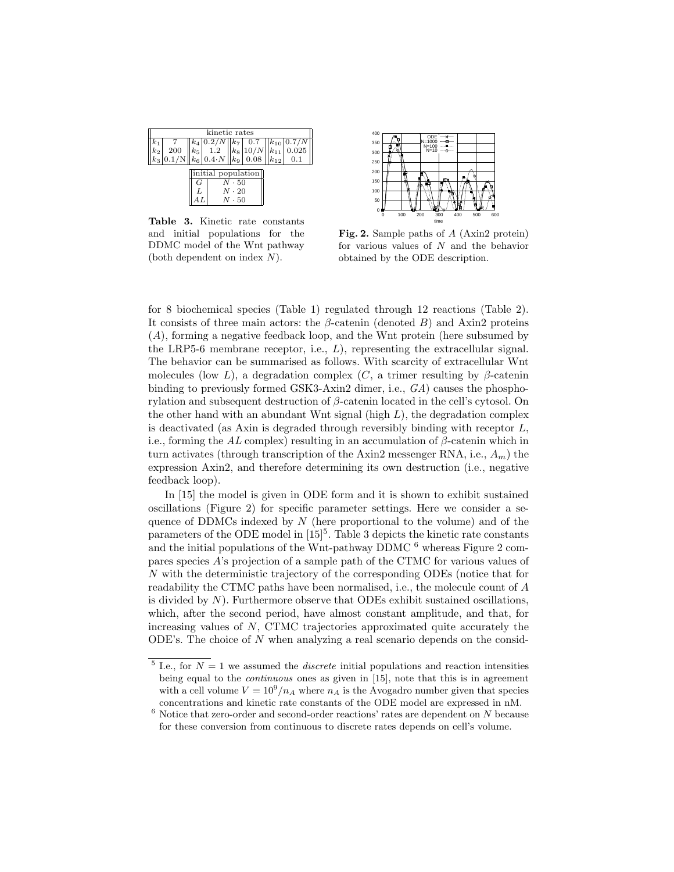|       | kinetic rates                                                                                                                                          |   |                    |                                             |  |  |                           |  |
|-------|--------------------------------------------------------------------------------------------------------------------------------------------------------|---|--------------------|---------------------------------------------|--|--|---------------------------|--|
|       |                                                                                                                                                        |   | $k_4$   0.2/N      |                                             |  |  | $k_7$ 0.7 $ k_{10} 0.7/N$ |  |
| $k_2$ | $\begin{array}{ c c c c c c } \hline 200 & k_5 & 1.2 & k_8 & 10/N & k_{11} & 0.025 \ 0.1/N & k_6 & 0.4 & N & 0.08 & k_{12} & 0.1 \ \hline \end{array}$ |   |                    |                                             |  |  |                           |  |
|       |                                                                                                                                                        |   |                    |                                             |  |  |                           |  |
|       |                                                                                                                                                        | G | initial population | $N\cdot 50$<br>$N \cdot 20$<br>$N \cdot 50$ |  |  |                           |  |

Table 3. Kinetic rate constants and initial populations for the DDMC model of the Wnt pathway (both dependent on index N).



Fig. 2. Sample paths of A (Axin2 protein) for various values of N and the behavior obtained by the ODE description.

for 8 biochemical species (Table 1) regulated through 12 reactions (Table 2). It consists of three main actors: the  $\beta$ -catenin (denoted B) and Axin2 proteins (A), forming a negative feedback loop, and the Wnt protein (here subsumed by the LRP5-6 membrane receptor, i.e.,  $L$ ), representing the extracellular signal. The behavior can be summarised as follows. With scarcity of extracellular Wnt molecules (low L), a degradation complex  $(C, a$  trimer resulting by  $\beta$ -catenin binding to previously formed GSK3-Axin2 dimer, i.e., GA) causes the phosphorylation and subsequent destruction of  $\beta$ -catenin located in the cell's cytosol. On the other hand with an abundant Wnt signal (high  $L$ ), the degradation complex is deactivated (as Axin is degraded through reversibly binding with receptor  $L$ , i.e., forming the AL complex) resulting in an accumulation of  $\beta$ -catenin which in turn activates (through transcription of the Axin2 messenger RNA, i.e.,  $A_m$ ) the expression Axin2, and therefore determining its own destruction (i.e., negative feedback loop).

In [15] the model is given in ODE form and it is shown to exhibit sustained oscillations (Figure 2) for specific parameter settings. Here we consider a sequence of DDMCs indexed by  $N$  (here proportional to the volume) and of the parameters of the ODE model in  $[15]$ <sup>5</sup>. Table 3 depicts the kinetic rate constants and the initial populations of the Wnt-pathway DDMC  $<sup>6</sup>$  whereas Figure 2 com-</sup> pares species A's projection of a sample path of the CTMC for various values of N with the deterministic trajectory of the corresponding ODEs (notice that for readability the CTMC paths have been normalised, i.e., the molecule count of A is divided by  $N$ ). Furthermore observe that ODEs exhibit sustained oscillations, which, after the second period, have almost constant amplitude, and that, for increasing values of  $N$ , CTMC trajectories approximated quite accurately the ODE's. The choice of N when analyzing a real scenario depends on the consid-

<sup>&</sup>lt;sup>5</sup> I.e., for  $N = 1$  we assumed the *discrete* initial populations and reaction intensities being equal to the continuous ones as given in [15], note that this is in agreement with a cell volume  $V = 10^9/n_A$  where  $n_A$  is the Avogadro number given that species concentrations and kinetic rate constants of the ODE model are expressed in nM.

 $^6$  Notice that zero-order and second-order reactions' rates are dependent on  $N$  because for these conversion from continuous to discrete rates depends on cell's volume.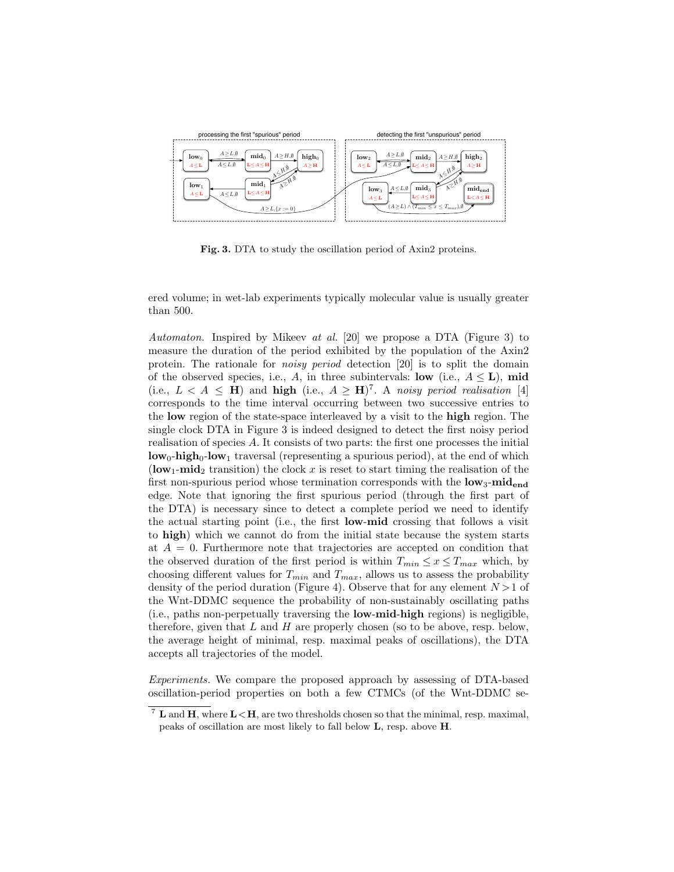

Fig. 3. DTA to study the oscillation period of Axin2 proteins.

ered volume; in wet-lab experiments typically molecular value is usually greater than 500.

Automaton. Inspired by Mikeev at al. [20] we propose a DTA (Figure 3) to measure the duration of the period exhibited by the population of the Axin2 protein. The rationale for noisy period detection [20] is to split the domain of the observed species, i.e., A, in three subintervals: low (i.e.,  $A \leq L$ ), mid (i.e.,  $L < A \leq H$ ) and high (i.e.,  $A \geq H$ )<sup>7</sup>. A noisy period realisation [4] corresponds to the time interval occurring between two successive entries to the low region of the state-space interleaved by a visit to the high region. The single clock DTA in Figure 3 is indeed designed to detect the first noisy period realisation of species A. It consists of two parts: the first one processes the initial  $\mathbf{low}_0$ -high<sub>0</sub>-low<sub>1</sub> traversal (representing a spurious period), at the end of which (low<sub>1</sub>-mid<sub>2</sub> transition) the clock x is reset to start timing the realisation of the first non-spurious period whose termination corresponds with the  $\text{low}_3\text{-mid}_{\text{end}}$ edge. Note that ignoring the first spurious period (through the first part of the DTA) is necessary since to detect a complete period we need to identify the actual starting point (i.e., the first low-mid crossing that follows a visit to high) which we cannot do from the initial state because the system starts at  $A = 0$ . Furthermore note that trajectories are accepted on condition that the observed duration of the first period is within  $T_{min} \le x \le T_{max}$  which, by choosing different values for  $T_{min}$  and  $T_{max}$ , allows us to assess the probability density of the period duration (Figure 4). Observe that for any element  $N > 1$  of the Wnt-DDMC sequence the probability of non-sustainably oscillating paths (i.e., paths non-perpetually traversing the low-mid-high regions) is negligible, therefore, given that  $L$  and  $H$  are properly chosen (so to be above, resp. below, the average height of minimal, resp. maximal peaks of oscillations), the DTA accepts all trajectories of the model.

Experiments. We compare the proposed approach by assessing of DTA-based oscillation-period properties on both a few CTMCs (of the Wnt-DDMC se-

 $^7$  L and H, where  $L < H$ , are two thresholds chosen so that the minimal, resp. maximal, peaks of oscillation are most likely to fall below L, resp. above H.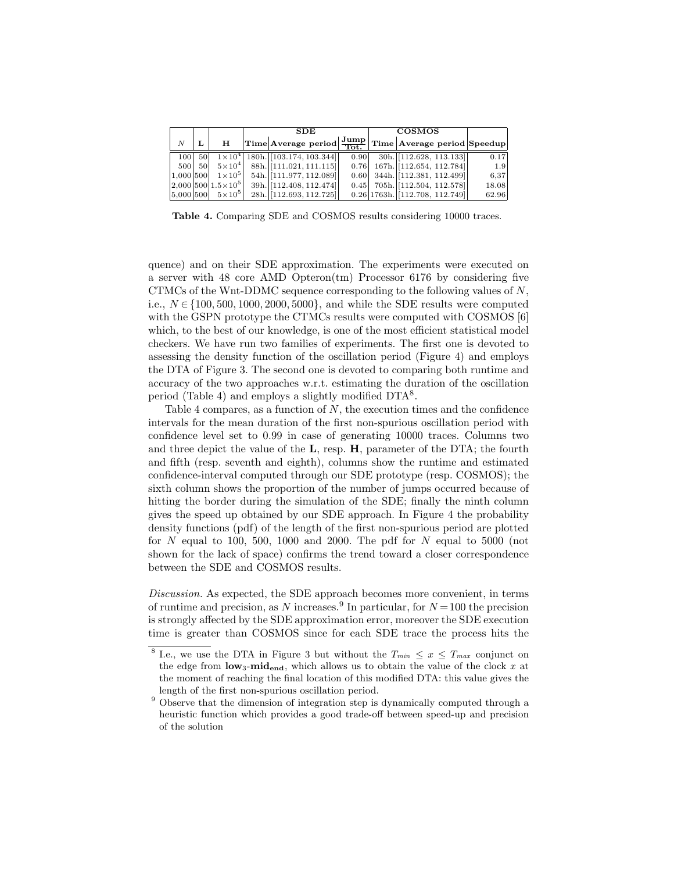|           |    |                               | <b>SDE</b>                                |  |      |  | <b>COSMOS</b>                                                                                    |       |  |  |
|-----------|----|-------------------------------|-------------------------------------------|--|------|--|--------------------------------------------------------------------------------------------------|-------|--|--|
| N         |    | н                             |                                           |  |      |  | $\fbox{Time} \fbox{Average period} \fbox{Jump} \fbox{Time} \fbox{Average period} \fbox{Speedup}$ |       |  |  |
| 100       | 50 |                               | $1 \times 10^4$ 180h. [103.174, 103.344]] |  | 0.90 |  | $30h.$ [112.628, 113.133]                                                                        | 0.17  |  |  |
| 500       | 50 | $5\times10^{4}$               | 88h. [111.021, 111.115]                   |  |      |  | $0.76$ 167h. [112.654, 112.784]]                                                                 | 1.9   |  |  |
| 1.000 500 |    | $1\times10^5$                 | 54h. [111.977, 112.089]                   |  |      |  | $0.60$ 344h. [112.381, 112.499]                                                                  | 6,37  |  |  |
|           |    | $ 2,000 500 1.5\times10^{5} $ | 39h. [112.408, 112.474]                   |  |      |  | $0.45$ 705h. [112.504, 112.578]]                                                                 | 18.08 |  |  |
|           |    | $ 5,000 500 $ $5 \times 10^5$ | 28h. [112.693, 112.725]                   |  |      |  | 0.26 1763h. [112.708, 112.749]                                                                   | 62.96 |  |  |

Table 4. Comparing SDE and COSMOS results considering 10000 traces.

quence) and on their SDE approximation. The experiments were executed on a server with 48 core AMD Opteron(tm) Processor 6176 by considering five CTMCs of the Wnt-DDMC sequence corresponding to the following values of  $N$ , i.e.,  $N \in \{100, 500, 1000, 2000, 5000\}$ , and while the SDE results were computed with the GSPN prototype the CTMCs results were computed with COSMOS [6] which, to the best of our knowledge, is one of the most efficient statistical model checkers. We have run two families of experiments. The first one is devoted to assessing the density function of the oscillation period (Figure 4) and employs the DTA of Figure 3. The second one is devoted to comparing both runtime and accuracy of the two approaches w.r.t. estimating the duration of the oscillation period (Table 4) and employs a slightly modified DTA<sup>8</sup>.

Table 4 compares, as a function of  $N$ , the execution times and the confidence intervals for the mean duration of the first non-spurious oscillation period with confidence level set to 0.99 in case of generating 10000 traces. Columns two and three depict the value of the L, resp. H, parameter of the DTA; the fourth and fifth (resp. seventh and eighth), columns show the runtime and estimated confidence-interval computed through our SDE prototype (resp. COSMOS); the sixth column shows the proportion of the number of jumps occurred because of hitting the border during the simulation of the SDE; finally the ninth column gives the speed up obtained by our SDE approach. In Figure 4 the probability density functions (pdf) of the length of the first non-spurious period are plotted for  $N$  equal to 100, 500, 1000 and 2000. The pdf for  $N$  equal to 5000 (not shown for the lack of space) confirms the trend toward a closer correspondence between the SDE and COSMOS results.

Discussion. As expected, the SDE approach becomes more convenient, in terms of runtime and precision, as N increases.<sup>9</sup> In particular, for  $N = 100$  the precision is strongly affected by the SDE approximation error, moreover the SDE execution time is greater than COSMOS since for each SDE trace the process hits the

<sup>&</sup>lt;sup>8</sup> I.e., we use the DTA in Figure 3 but without the  $T_{min} \leq x \leq T_{max}$  conjunct on the edge from  $\textbf{low}_3\textbf{-mid}_{\textbf{end}}$ , which allows us to obtain the value of the clock x at the moment of reaching the final location of this modified DTA: this value gives the length of the first non-spurious oscillation period.

<sup>&</sup>lt;sup>9</sup> Observe that the dimension of integration step is dynamically computed through a heuristic function which provides a good trade-off between speed-up and precision of the solution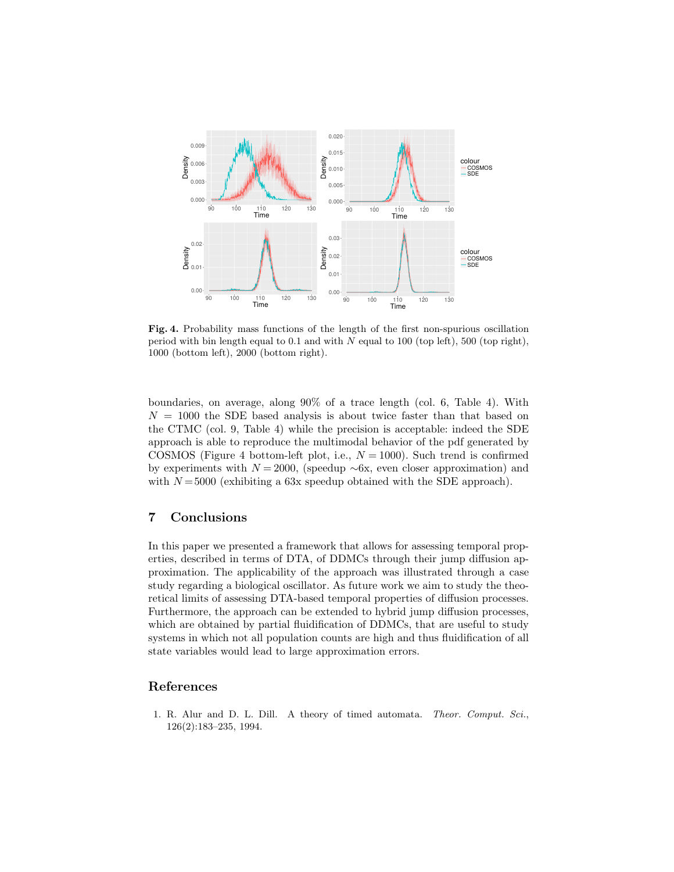

Fig. 4. Probability mass functions of the length of the first non-spurious oscillation period with bin length equal to 0.1 and with  $N$  equal to 100 (top left), 500 (top right), 1000 (bottom left), 2000 (bottom right).

boundaries, on average, along 90% of a trace length (col. 6, Table 4). With  $N = 1000$  the SDE based analysis is about twice faster than that based on the CTMC (col. 9, Table 4) while the precision is acceptable: indeed the SDE approach is able to reproduce the multimodal behavior of the pdf generated by COSMOS (Figure 4 bottom-left plot, i.e.,  $N = 1000$ ). Such trend is confirmed by experiments with  $N = 2000$ , (speedup ∼6x, even closer approximation) and with  $N = 5000$  (exhibiting a 63x speedup obtained with the SDE approach).

# 7 Conclusions

In this paper we presented a framework that allows for assessing temporal properties, described in terms of DTA, of DDMCs through their jump diffusion approximation. The applicability of the approach was illustrated through a case study regarding a biological oscillator. As future work we aim to study the theoretical limits of assessing DTA-based temporal properties of diffusion processes. Furthermore, the approach can be extended to hybrid jump diffusion processes, which are obtained by partial fluidification of DDMCs, that are useful to study systems in which not all population counts are high and thus fluidification of all state variables would lead to large approximation errors.

# References

1. R. Alur and D. L. Dill. A theory of timed automata. Theor. Comput. Sci., 126(2):183–235, 1994.